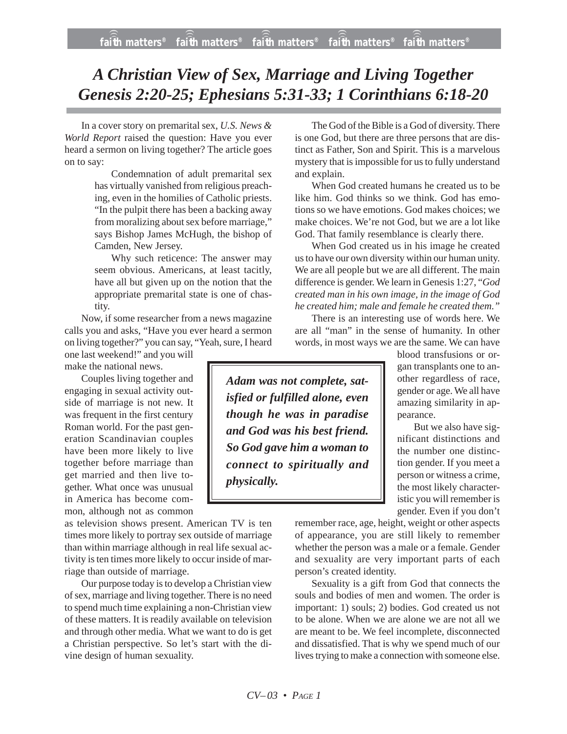## *A Christian View of Sex, Marriage and Living Together Genesis 2:20-25; Ephesians 5:31-33; 1 Corinthians 6:18-20*

In a cover story on premarital sex, *U.S. News & World Report* raised the question: Have you ever heard a sermon on living together? The article goes on to say:

> Condemnation of adult premarital sex has virtually vanished from religious preaching, even in the homilies of Catholic priests. "In the pulpit there has been a backing away from moralizing about sex before marriage," says Bishop James McHugh, the bishop of Camden, New Jersey.

> Why such reticence: The answer may seem obvious. Americans, at least tacitly, have all but given up on the notion that the appropriate premarital state is one of chastity.

Now, if some researcher from a news magazine calls you and asks, "Have you ever heard a sermon on living together?" you can say, "Yeah, sure, I heard

one last weekend!" and you will make the national news.

Couples living together and engaging in sexual activity outside of marriage is not new. It was frequent in the first century Roman world. For the past generation Scandinavian couples have been more likely to live together before marriage than get married and then live together. What once was unusual in America has become common, although not as common

as television shows present. American TV is ten times more likely to portray sex outside of marriage than within marriage although in real life sexual activity is ten times more likely to occur inside of marriage than outside of marriage.

Our purpose today is to develop a Christian view of sex, marriage and living together. There is no need to spend much time explaining a non-Christian view of these matters. It is readily available on television and through other media. What we want to do is get a Christian perspective. So let's start with the divine design of human sexuality.

The God of the Bible is a God of diversity. There is one God, but there are three persons that are distinct as Father, Son and Spirit. This is a marvelous mystery that is impossible for us to fully understand and explain.

When God created humans he created us to be like him. God thinks so we think. God has emotions so we have emotions. God makes choices; we make choices. We're not God, but we are a lot like God. That family resemblance is clearly there.

When God created us in his image he created us to have our own diversity within our human unity. We are all people but we are all different. The main difference is gender. We learn in Genesis 1:27, "*God created man in his own image, in the image of God he created him; male and female he created them."*

There is an interesting use of words here. We are all "man" in the sense of humanity. In other words, in most ways we are the same. We can have

*Adam was not complete, satisfied or fulfilled alone, even though he was in paradise and God was his best friend. So God gave him a woman to connect to spiritually and physically.*

blood transfusions or organ transplants one to another regardless of race, gender or age. We all have amazing similarity in appearance.

But we also have significant distinctions and the number one distinction gender. If you meet a person or witness a crime, the most likely characteristic you will remember is gender. Even if you don't

remember race, age, height, weight or other aspects of appearance, you are still likely to remember whether the person was a male or a female. Gender and sexuality are very important parts of each person's created identity.

Sexuality is a gift from God that connects the souls and bodies of men and women. The order is important: 1) souls; 2) bodies. God created us not to be alone. When we are alone we are not all we are meant to be. We feel incomplete, disconnected and dissatisfied. That is why we spend much of our lives trying to make a connection with someone else.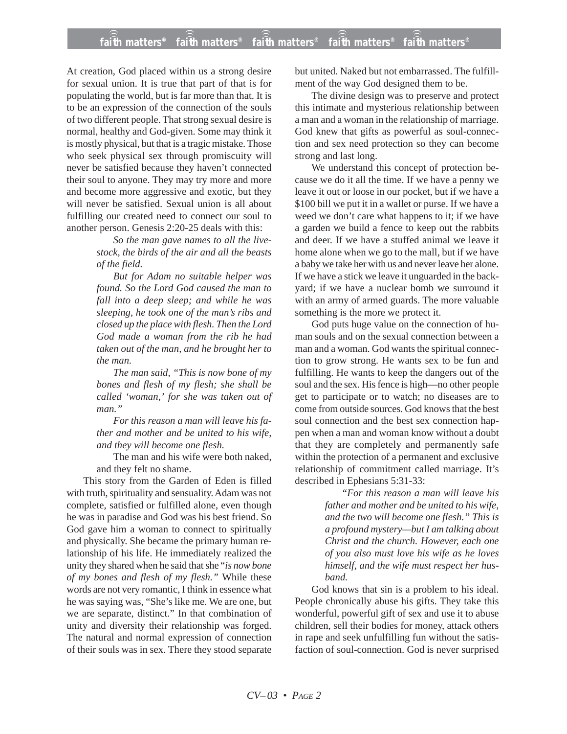At creation, God placed within us a strong desire for sexual union. It is true that part of that is for populating the world, but is far more than that. It is to be an expression of the connection of the souls of two different people. That strong sexual desire is normal, healthy and God-given. Some may think it is mostly physical, but that is a tragic mistake. Those who seek physical sex through promiscuity will never be satisfied because they haven't connected their soul to anyone. They may try more and more and become more aggressive and exotic, but they will never be satisfied. Sexual union is all about fulfilling our created need to connect our soul to another person. Genesis 2:20-25 deals with this:

> *So the man gave names to all the livestock, the birds of the air and all the beasts of the field.*

*But for Adam no suitable helper was found. So the Lord God caused the man to fall into a deep sleep; and while he was sleeping, he took one of the man's ribs and closed up the place with flesh. Then the Lord God made a woman from the rib he had taken out of the man, and he brought her to the man.*

*The man said, "This is now bone of my bones and flesh of my flesh; she shall be called 'woman,' for she was taken out of man."*

*For this reason a man will leave his father and mother and be united to his wife, and they will become one flesh.*

The man and his wife were both naked, and they felt no shame.

This story from the Garden of Eden is filled with truth, spirituality and sensuality. Adam was not complete, satisfied or fulfilled alone, even though he was in paradise and God was his best friend. So God gave him a woman to connect to spiritually and physically. She became the primary human relationship of his life. He immediately realized the unity they shared when he said that she "*is now bone of my bones and flesh of my flesh."* While these words are not very romantic, I think in essence what he was saying was, "She's like me. We are one, but we are separate, distinct." In that combination of unity and diversity their relationship was forged. The natural and normal expression of connection of their souls was in sex. There they stood separate but united. Naked but not embarrassed. The fulfillment of the way God designed them to be.

The divine design was to preserve and protect this intimate and mysterious relationship between a man and a woman in the relationship of marriage. God knew that gifts as powerful as soul-connection and sex need protection so they can become strong and last long.

We understand this concept of protection because we do it all the time. If we have a penny we leave it out or loose in our pocket, but if we have a \$100 bill we put it in a wallet or purse. If we have a weed we don't care what happens to it; if we have a garden we build a fence to keep out the rabbits and deer. If we have a stuffed animal we leave it home alone when we go to the mall, but if we have a baby we take her with us and never leave her alone. If we have a stick we leave it unguarded in the backyard; if we have a nuclear bomb we surround it with an army of armed guards. The more valuable something is the more we protect it.

God puts huge value on the connection of human souls and on the sexual connection between a man and a woman. God wants the spiritual connection to grow strong. He wants sex to be fun and fulfilling. He wants to keep the dangers out of the soul and the sex. His fence is high—no other people get to participate or to watch; no diseases are to come from outside sources. God knows that the best soul connection and the best sex connection happen when a man and woman know without a doubt that they are completely and permanently safe within the protection of a permanent and exclusive relationship of commitment called marriage. It's described in Ephesians 5:31-33:

*"For this reason a man will leave his father and mother and be united to his wife, and the two will become one flesh." This is a profound mystery—but I am talking about Christ and the church. However, each one of you also must love his wife as he loves himself, and the wife must respect her husband.*

God knows that sin is a problem to his ideal. People chronically abuse his gifts. They take this wonderful, powerful gift of sex and use it to abuse children, sell their bodies for money, attack others in rape and seek unfulfilling fun without the satisfaction of soul-connection. God is never surprised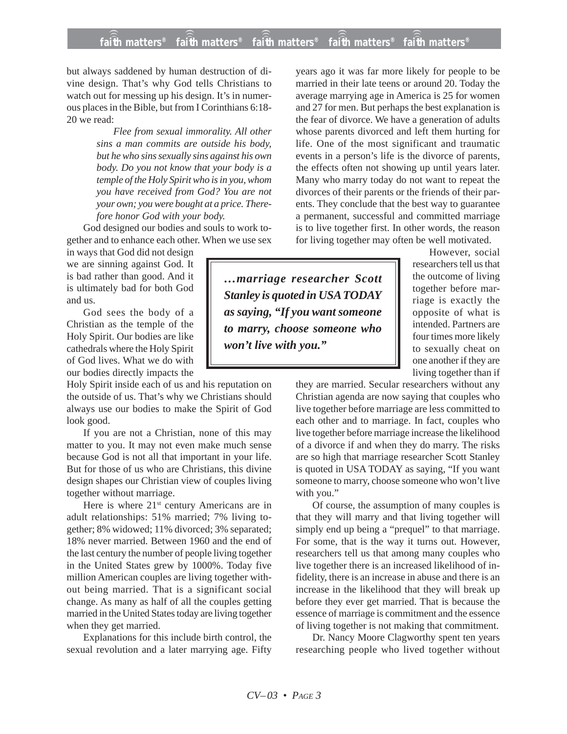## **faith matters® faith matters® faith matters® faith matters® faith matters®** ))) ))) ))) ))) )))

but always saddened by human destruction of divine design. That's why God tells Christians to watch out for messing up his design. It's in numerous places in the Bible, but from I Corinthians 6:18- 20 we read:

> *Flee from sexual immorality. All other sins a man commits are outside his body, but he who sins sexually sins against his own body. Do you not know that your body is a temple of the Holy Spirit who is in you, whom you have received from God? You are not your own; you were bought at a price. Therefore honor God with your body.*

God designed our bodies and souls to work together and to enhance each other. When we use sex

in ways that God did not design we are sinning against God. It is bad rather than good. And it is ultimately bad for both God and us.

God sees the body of a Christian as the temple of the Holy Spirit. Our bodies are like cathedrals where the Holy Spirit of God lives. What we do with our bodies directly impacts the

Holy Spirit inside each of us and his reputation on the outside of us. That's why we Christians should always use our bodies to make the Spirit of God look good.

If you are not a Christian, none of this may matter to you. It may not even make much sense because God is not all that important in your life. But for those of us who are Christians, this divine design shapes our Christian view of couples living together without marriage.

Here is where 21<sup>st</sup> century Americans are in adult relationships: 51% married; 7% living together; 8% widowed; 11% divorced; 3% separated; 18% never married. Between 1960 and the end of the last century the number of people living together in the United States grew by 1000%. Today five million American couples are living together without being married. That is a significant social change. As many as half of all the couples getting married in the United States today are living together when they get married.

Explanations for this include birth control, the sexual revolution and a later marrying age. Fifty years ago it was far more likely for people to be married in their late teens or around 20. Today the average marrying age in America is 25 for women and 27 for men. But perhaps the best explanation is the fear of divorce. We have a generation of adults whose parents divorced and left them hurting for life. One of the most significant and traumatic events in a person's life is the divorce of parents, the effects often not showing up until years later. Many who marry today do not want to repeat the divorces of their parents or the friends of their parents. They conclude that the best way to guarantee a permanent, successful and committed marriage is to live together first. In other words, the reason for living together may often be well motivated.

> However, social researchers tell us that the outcome of living together before marriage is exactly the opposite of what is intended. Partners are four times more likely to sexually cheat on one another if they are living together than if

they are married. Secular researchers without any Christian agenda are now saying that couples who live together before marriage are less committed to each other and to marriage. In fact, couples who live together before marriage increase the likelihood of a divorce if and when they do marry. The risks are so high that marriage researcher Scott Stanley is quoted in USA TODAY as saying, "If you want someone to marry, choose someone who won't live with you."

Of course, the assumption of many couples is that they will marry and that living together will simply end up being a "prequel" to that marriage. For some, that is the way it turns out. However, researchers tell us that among many couples who live together there is an increased likelihood of infidelity, there is an increase in abuse and there is an increase in the likelihood that they will break up before they ever get married. That is because the essence of marriage is commitment and the essence of living together is not making that commitment.

Dr. Nancy Moore Clagworthy spent ten years researching people who lived together without

*…marriage researcher Scott Stanley is quoted in USA TODAY as saying, "If you want someone to marry, choose someone who won't live with you."*